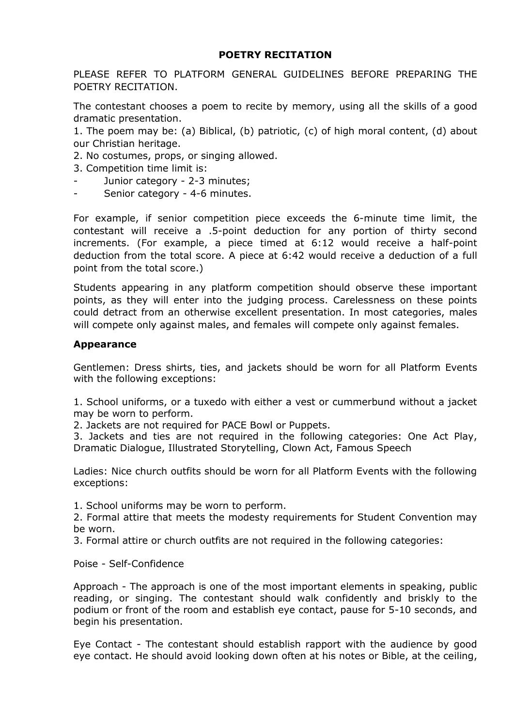# **POETRY RECITATION**

PLEASE REFER TO PLATFORM GENERAL GUIDELINES BEFORE PREPARING THE POETRY RECITATION.

The contestant chooses a poem to recite by memory, using all the skills of a good dramatic presentation.

1. The poem may be: (a) Biblical, (b) patriotic, (c) of high moral content, (d) about our Christian heritage.

2. No costumes, props, or singing allowed.

- 3. Сompetition time limit is:
- Junior category 2-3 minutes;
- Senior category 4-6 minutes.

For example, if senior competition piece exceeds the 6-minute time limit, the contestant will receive a .5-point deduction for any portion of thirty second increments. (For example, a piece timed at 6:12 would receive a half-point deduction from the total score. A piece at 6:42 would receive a deduction of a full point from the total score.)

Students appearing in any platform competition should observe these important points, as they will enter into the judging process. Carelessness on these points could detract from an otherwise excellent presentation. In most categories, males will compete only against males, and females will compete only against females.

### **Appearance**

Gentlemen: Dress shirts, ties, and jackets should be worn for all Platform Events with the following exceptions:

1. School uniforms, or a tuxedo with either a vest or cummerbund without a jacket may be worn to perform.

2. Jackets are not required for PACE Bowl or Puppets.

3. Jackets and ties are not required in the following categories: One Act Play, Dramatic Dialogue, Illustrated Storytelling, Clown Act, Famous Speech

Ladies: Nice church outfits should be worn for all Platform Events with the following exceptions:

1. School uniforms may be worn to perform.

2. Formal attire that meets the modesty requirements for Student Convention may be worn.

3. Formal attire or church outfits are not required in the following categories:

### Poise - Self-Confidence

Approach - The approach is one of the most important elements in speaking, public reading, or singing. The contestant should walk confidently and briskly to the podium or front of the room and establish eye contact, pause for 5-10 seconds, and begin his presentation.

Eye Contact - The contestant should establish rapport with the audience by good eye contact. He should avoid looking down often at his notes or Bible, at the ceiling,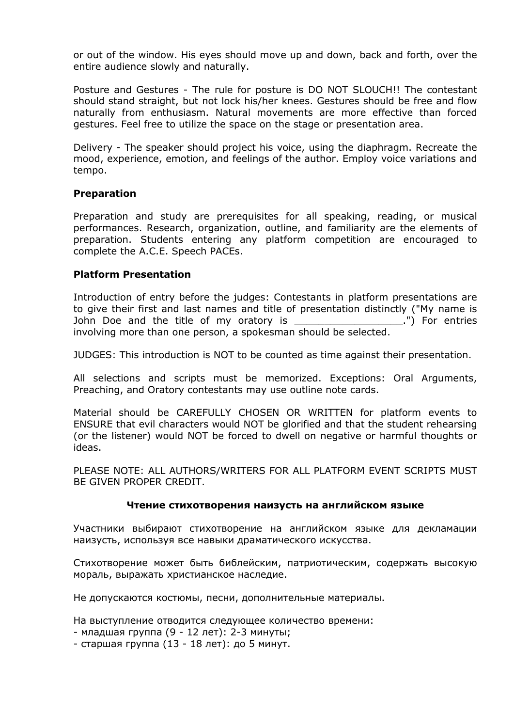or out of the window. His eyes should move up and down, back and forth, over the entire audience slowly and naturally.

Posture and Gestures - The rule for posture is DO NOT SLOUCH!! The contestant should stand straight, but not lock his/her knees. Gestures should be free and flow naturally from enthusiasm. Natural movements are more effective than forced gestures. Feel free to utilize the space on the stage or presentation area.

Delivery - The speaker should project his voice, using the diaphragm. Recreate the mood, experience, emotion, and feelings of the author. Employ voice variations and tempo.

### **Preparation**

Preparation and study are prerequisites for all speaking, reading, or musical performances. Research, organization, outline, and familiarity are the elements of preparation. Students entering any platform competition are encouraged to complete the A.C.E. Speech PACEs.

## **Platform Presentation**

Introduction of entry before the judges: Contestants in platform presentations are to give their first and last names and title of presentation distinctly ("My name is John Doe and the title of my oratory is The Contrium of the setting of my oratory is The Cohn and the title of my oratory is involving more than one person, a spokesman should be selected.

JUDGES: This introduction is NOT to be counted as time against their presentation.

All selections and scripts must be memorized. Exceptions: Oral Arguments, Preaching, and Oratory contestants may use outline note cards.

Material should be CAREFULLY CHOSEN OR WRITTEN for platform events to ENSURE that evil characters would NOT be glorified and that the student rehearsing (or the listener) would NOT be forced to dwell on negative or harmful thoughts or ideas.

PLEASE NOTE: ALL AUTHORS/WRITERS FOR ALL PLATFORM EVENT SCRIPTS MUST BE GIVEN PROPER CREDIT.

### **Чтение стихотворения наизусть на английском языке**

Участники выбирают стихотворение на английском языке для декламации наизусть, используя все навыки драматического искусства.

Стихотворение может быть библейским, патриотическим, содержать высокую мораль, выражать христианское наследие.

Не допускаются костюмы, песни, дополнительные материалы.

На выступление отводится следующее количество времени:

- младшая группа (9 12 лет): 2-3 минуты;
- старшая группа (13 18 лет): до 5 минут.